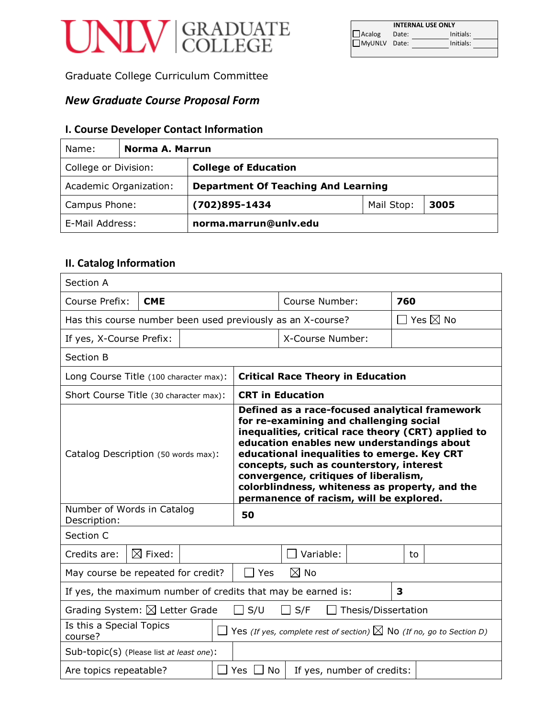# UNIV GRADUATE

|              |       | <b>INTERNAL USE ONLY</b> |  |
|--------------|-------|--------------------------|--|
| Acalog       | Date: | Initials:                |  |
| MyUNLV Date: |       | Initials:                |  |
|              |       |                          |  |

Graduate College Curriculum Committee

# *New Graduate Course Proposal Form*

# **I. Course Developer Contact Information**

| Name:                                               | Norma A. Marrun        |                                            |            |      |
|-----------------------------------------------------|------------------------|--------------------------------------------|------------|------|
| <b>College of Education</b><br>College or Division: |                        |                                            |            |      |
|                                                     | Academic Organization: | <b>Department Of Teaching And Learning</b> |            |      |
| Campus Phone:                                       |                        | $(702)895 - 1434$                          | Mail Stop: | 3005 |
| E-Mail Address:                                     |                        | norma.marrun@unlv.edu                      |            |      |

# **II. Catalog Information**

| Section A                                                                                                             |                    |                                                                                                                                                                                                                                                                                                                                                                                                                                 |                         |                                          |     |                           |  |
|-----------------------------------------------------------------------------------------------------------------------|--------------------|---------------------------------------------------------------------------------------------------------------------------------------------------------------------------------------------------------------------------------------------------------------------------------------------------------------------------------------------------------------------------------------------------------------------------------|-------------------------|------------------------------------------|-----|---------------------------|--|
| Course Prefix:<br><b>CME</b>                                                                                          |                    |                                                                                                                                                                                                                                                                                                                                                                                                                                 | Course Number:          |                                          | 760 |                           |  |
| Has this course number been used previously as an X-course?                                                           |                    |                                                                                                                                                                                                                                                                                                                                                                                                                                 |                         |                                          |     | $\Box$ Yes $\boxtimes$ No |  |
| If yes, X-Course Prefix:                                                                                              |                    |                                                                                                                                                                                                                                                                                                                                                                                                                                 |                         | X-Course Number:                         |     |                           |  |
| Section B                                                                                                             |                    |                                                                                                                                                                                                                                                                                                                                                                                                                                 |                         |                                          |     |                           |  |
| Long Course Title (100 character max):                                                                                |                    |                                                                                                                                                                                                                                                                                                                                                                                                                                 |                         | <b>Critical Race Theory in Education</b> |     |                           |  |
| Short Course Title (30 character max):                                                                                |                    |                                                                                                                                                                                                                                                                                                                                                                                                                                 | <b>CRT in Education</b> |                                          |     |                           |  |
| Catalog Description (50 words max):                                                                                   |                    | Defined as a race-focused analytical framework<br>for re-examining and challenging social<br>inequalities, critical race theory (CRT) applied to<br>education enables new understandings about<br>educational inequalities to emerge. Key CRT<br>concepts, such as counterstory, interest<br>convergence, critiques of liberalism,<br>colorblindness, whiteness as property, and the<br>permanence of racism, will be explored. |                         |                                          |     |                           |  |
| Number of Words in Catalog<br>Description:                                                                            |                    | 50                                                                                                                                                                                                                                                                                                                                                                                                                              |                         |                                          |     |                           |  |
| Section C                                                                                                             |                    |                                                                                                                                                                                                                                                                                                                                                                                                                                 |                         |                                          |     |                           |  |
| Credits are:                                                                                                          | $\boxtimes$ Fixed: |                                                                                                                                                                                                                                                                                                                                                                                                                                 |                         | Variable:                                |     | to                        |  |
| May course be repeated for credit?                                                                                    |                    |                                                                                                                                                                                                                                                                                                                                                                                                                                 | $\Box$ Yes              | $\boxtimes$ No                           |     |                           |  |
| If yes, the maximum number of credits that may be earned is:<br>3                                                     |                    |                                                                                                                                                                                                                                                                                                                                                                                                                                 |                         |                                          |     |                           |  |
| Grading System: $\boxtimes$ Letter Grade<br>$\square$ S/U<br>S/F<br>Thesis/Dissertation                               |                    |                                                                                                                                                                                                                                                                                                                                                                                                                                 |                         |                                          |     |                           |  |
| Is this a Special Topics<br>Yes (If yes, complete rest of section) $\boxtimes$ No (If no, go to Section D)<br>course? |                    |                                                                                                                                                                                                                                                                                                                                                                                                                                 |                         |                                          |     |                           |  |
| Sub-topic(s) (Please list at least one):                                                                              |                    |                                                                                                                                                                                                                                                                                                                                                                                                                                 |                         |                                          |     |                           |  |
| Are topics repeatable?                                                                                                |                    | Yes $\Box$ No                                                                                                                                                                                                                                                                                                                                                                                                                   |                         | If yes, number of credits:               |     |                           |  |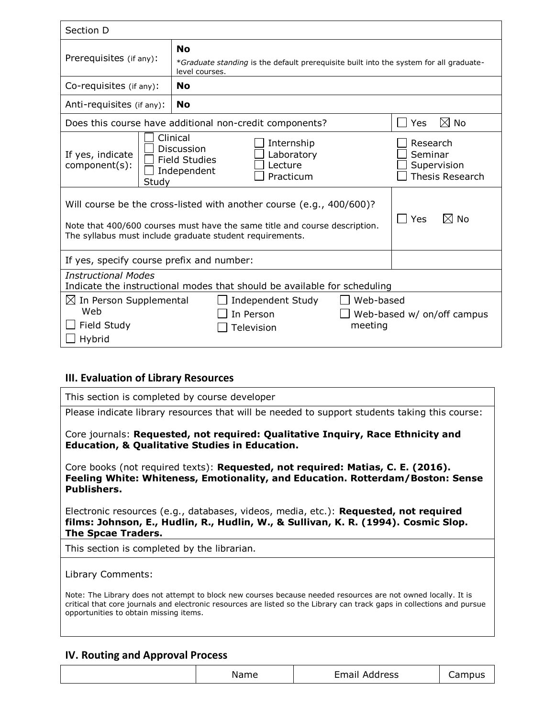| Section D                                                                                                                                                                                                                               |                                                                                                                       |                       |  |  |
|-----------------------------------------------------------------------------------------------------------------------------------------------------------------------------------------------------------------------------------------|-----------------------------------------------------------------------------------------------------------------------|-----------------------|--|--|
| Prerequisites (if any):                                                                                                                                                                                                                 | <b>No</b><br>*Graduate standing is the default prerequisite built into the system for all graduate-<br>level courses. |                       |  |  |
| Co-requisites (if any):                                                                                                                                                                                                                 | No                                                                                                                    |                       |  |  |
| Anti-requisites (if any):                                                                                                                                                                                                               | <b>No</b>                                                                                                             |                       |  |  |
|                                                                                                                                                                                                                                         | Does this course have additional non-credit components?                                                               | $\boxtimes$ No<br>Yes |  |  |
| Clinical<br>Internship<br>Research<br>Discussion<br>Laboratory<br>Seminar<br>If yes, indicate<br><b>Field Studies</b><br>component(s):<br>Lecture<br>Supervision<br>Independent<br><b>Thesis Research</b><br>Practicum<br>Study         |                                                                                                                       |                       |  |  |
| Will course be the cross-listed with another course (e.g., 400/600)?<br>$\boxtimes$ No<br>Yes<br>Note that 400/600 courses must have the same title and course description.<br>The syllabus must include graduate student requirements. |                                                                                                                       |                       |  |  |
| If yes, specify course prefix and number:                                                                                                                                                                                               |                                                                                                                       |                       |  |  |
| <b>Instructional Modes</b><br>Indicate the instructional modes that should be available for scheduling                                                                                                                                  |                                                                                                                       |                       |  |  |
| Web-based<br>$\boxtimes$ In Person Supplemental<br>Independent Study<br>Web<br>In Person<br>Web-based w/ on/off campus<br>$\Box$ Field Study<br>meeting<br>Television<br>Hybrid                                                         |                                                                                                                       |                       |  |  |

# **III. Evaluation of Library Resources**

| This section is completed by course developer                                                                                                                                                                                                                 |
|---------------------------------------------------------------------------------------------------------------------------------------------------------------------------------------------------------------------------------------------------------------|
| Please indicate library resources that will be needed to support students taking this course:                                                                                                                                                                 |
| Core journals: Requested, not required: Qualitative Inquiry, Race Ethnicity and<br><b>Education, &amp; Qualitative Studies in Education.</b>                                                                                                                  |
| Core books (not required texts): Requested, not required: Matias, C. E. (2016).<br>Feeling White: Whiteness, Emotionality, and Education. Rotterdam/Boston: Sense<br><b>Publishers.</b>                                                                       |
| Electronic resources (e.g., databases, videos, media, etc.): <b>Requested, not required</b><br>films: Johnson, E., Hudlin, R., Hudlin, W., & Sullivan, K. R. (1994). Cosmic Slop.<br><b>The Spcae Traders.</b>                                                |
| This section is completed by the librarian.                                                                                                                                                                                                                   |
| Library Comments:<br>Note: The Library does not attempt to block new courses because needed resources are not owned locally. It is<br>critical that core journals and electronic resources are listed so the Library can track gaps in collections and pursue |
| opportunities to obtain missing items.                                                                                                                                                                                                                        |

# **IV. Routing and Approval Process**

| Name | Email Address | Campus |
|------|---------------|--------|
|      |               |        |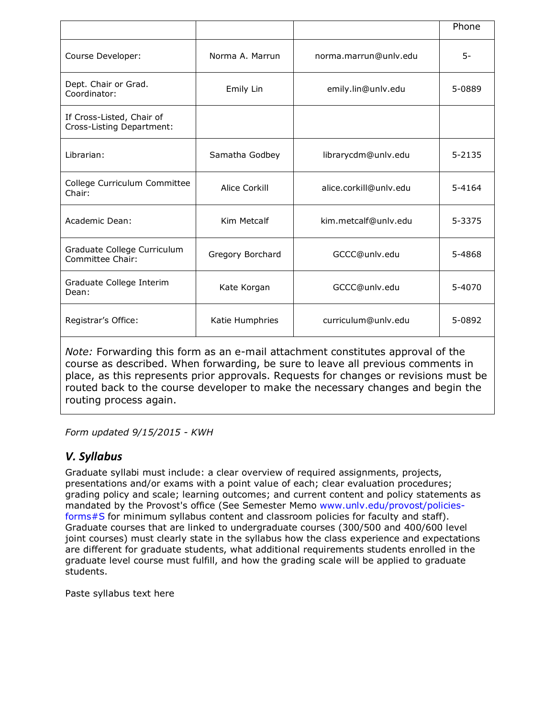|                                                        |                  |                        | Phone      |
|--------------------------------------------------------|------------------|------------------------|------------|
| Course Developer:                                      | Norma A. Marrun  | norma.marrun@unlv.edu  | $5-$       |
| Dept. Chair or Grad.<br>Coordinator:                   | Emily Lin        | emily.lin@unlv.edu     | 5-0889     |
| If Cross-Listed, Chair of<br>Cross-Listing Department: |                  |                        |            |
| Librarian:                                             | Samatha Godbey   | librarycdm@unlv.edu    | $5 - 2135$ |
| College Curriculum Committee<br>Chair:                 | Alice Corkill    | alice.corkill@unlv.edu | 5-4164     |
| Academic Dean:                                         | Kim Metcalf      | kim.metcalf@unlv.edu   | 5-3375     |
| Graduate College Curriculum<br>Committee Chair:        | Gregory Borchard | GCCC@unlv.edu          | 5-4868     |
| Graduate College Interim<br>Dean:                      | Kate Korgan      | GCCC@unly.edu          | 5-4070     |
| Registrar's Office:                                    | Katie Humphries  | curriculum@unlv.edu    | 5-0892     |

*Note:* Forwarding this form as an e-mail attachment constitutes approval of the course as described. When forwarding, be sure to leave all previous comments in place, as this represents prior approvals. Requests for changes or revisions must be routed back to the course developer to make the necessary changes and begin the routing process again.

*Form updated 9/15/2015 - KWH*

# *V. Syllabus*

Graduate syllabi must include: a clear overview of required assignments, projects, presentations and/or exams with a point value of each; clear evaluation procedures; grading policy and scale; learning outcomes; and current content and policy statements as mandated by the Provost's office (See Semester Memo [www.unlv.edu/provost/policies](http://www.unlv.edu/provost/policies-forms#S)[forms#S](http://www.unlv.edu/provost/policies-forms#S) for minimum syllabus content and classroom policies for faculty and staff). Graduate courses that are linked to undergraduate courses (300/500 and 400/600 level joint courses) must clearly state in the syllabus how the class experience and expectations are different for graduate students, what additional requirements students enrolled in the graduate level course must fulfill, and how the grading scale will be applied to graduate students.

Paste syllabus text here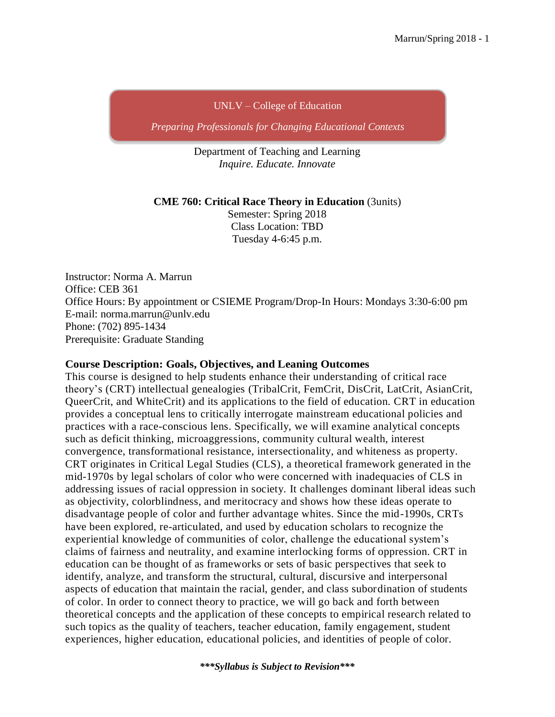#### UNLV – College of Education

*Preparing Professionals for Changing Educational Contexts*

Department of Teaching and Learning *Inquire. Educate. Innovate*

#### **CME 760: Critical Race Theory in Education** (3units)

Semester: Spring 2018 Class Location: TBD Tuesday 4-6:45 p.m.

Instructor: Norma A. Marrun Office: CEB 361 Office Hours: By appointment or CSIEME Program/Drop-In Hours: Mondays 3:30-6:00 pm E-mail: [norma.marrun@unlv.edu](mailto:norma.marrun@unlv.edu) Phone: (702) 895-1434 Prerequisite: Graduate Standing

#### **Course Description: Goals, Objectives, and Leaning Outcomes**

This course is designed to help students enhance their understanding of critical race theory's (CRT) intellectual genealogies (TribalCrit, FemCrit, DisCrit, LatCrit, AsianCrit, QueerCrit, and WhiteCrit) and its applications to the field of education. CRT in education provides a conceptual lens to critically interrogate mainstream educational policies and practices with a race-conscious lens. Specifically, we will examine analytical concepts such as deficit thinking, microaggressions, community cultural wealth, interest convergence, transformational resistance, intersectionality, and whiteness as property. CRT originates in Critical Legal Studies (CLS), a theoretical framework generated in the mid-1970s by legal scholars of color who were concerned with inadequacies of CLS in addressing issues of racial oppression in society. It challenges dominant liberal ideas such as objectivity, colorblindness, and meritocracy and shows how these ideas operate to disadvantage people of color and further advantage whites. Since the mid-1990s, CRTs have been explored, re-articulated, and used by education scholars to recognize the experiential knowledge of communities of color, challenge the educational system's claims of fairness and neutrality, and examine interlocking forms of oppression. CRT in education can be thought of as frameworks or sets of basic perspectives that seek to identify, analyze, and transform the structural, cultural, discursive and interpersonal aspects of education that maintain the racial, gender, and class subordination of students of color. In order to connect theory to practice, we will go back and forth between theoretical concepts and the application of these concepts to empirical research related to such topics as the quality of teachers, teacher education, family engagement, student experiences, higher education, educational policies, and identities of people of color.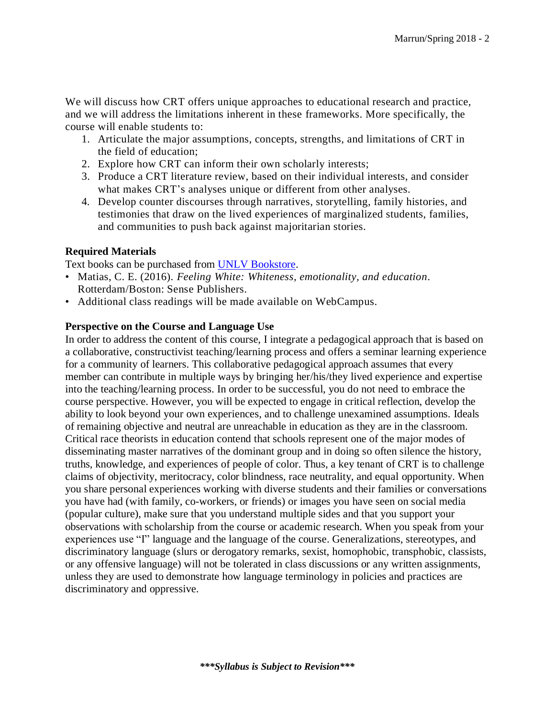We will discuss how CRT offers unique approaches to educational research and practice, and we will address the limitations inherent in these frameworks. More specifically, the course will enable students to:

- 1. Articulate the major assumptions, concepts, strengths, and limitations of CRT in the field of education;
- 2. Explore how CRT can inform their own scholarly interests;
- 3. Produce a CRT literature review, based on their individual interests, and consider what makes CRT's analyses unique or different from other analyses.
- 4. Develop counter discourses through narratives, storytelling, family histories, and testimonies that draw on the lived experiences of marginalized students, families, and communities to push back against majoritarian stories.

#### **Required Materials**

Text books can be purchased from [UNLV Bookstore.](http://unlv.bncollege.com/webapp/wcs/stores/servlet/BNCBHomePage?storeId=19074&catalogId=10001&langId=-1)

- Matias, C. E. (2016). *Feeling White: Whiteness, emotionality, and education*. Rotterdam/Boston: Sense Publishers.
- Additional class readings will be made available on WebCampus.

#### **Perspective on the Course and Language Use**

In order to address the content of this course, I integrate a pedagogical approach that is based on a collaborative, constructivist teaching/learning process and offers a seminar learning experience for a community of learners. This collaborative pedagogical approach assumes that every member can contribute in multiple ways by bringing her/his/they lived experience and expertise into the teaching/learning process. In order to be successful, you do not need to embrace the course perspective. However, you will be expected to engage in critical reflection, develop the ability to look beyond your own experiences, and to challenge unexamined assumptions. Ideals of remaining objective and neutral are unreachable in education as they are in the classroom. Critical race theorists in education contend that schools represent one of the major modes of disseminating master narratives of the dominant group and in doing so often silence the history, truths, knowledge, and experiences of people of color. Thus, a key tenant of CRT is to challenge claims of objectivity, meritocracy, color blindness, race neutrality, and equal opportunity. When you share personal experiences working with diverse students and their families or conversations you have had (with family, co-workers, or friends) or images you have seen on social media (popular culture), make sure that you understand multiple sides and that you support your observations with scholarship from the course or academic research. When you speak from your experiences use "I" language and the language of the course. Generalizations, stereotypes, and discriminatory language (slurs or derogatory remarks, sexist, homophobic, transphobic, classists, or any offensive language) will not be tolerated in class discussions or any written assignments, unless they are used to demonstrate how language terminology in policies and practices are discriminatory and oppressive.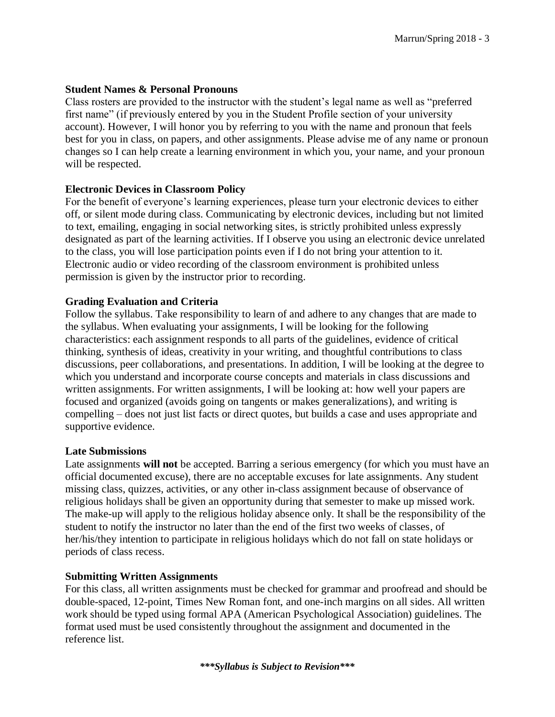#### **Student Names & Personal Pronouns**

Class rosters are provided to the instructor with the student's legal name as well as "preferred first name" (if previously entered by you in the Student Profile section of your university account). However, I will honor you by referring to you with the name and pronoun that feels best for you in class, on papers, and other assignments. Please advise me of any name or pronoun changes so I can help create a learning environment in which you, your name, and your pronoun will be respected.

#### **Electronic Devices in Classroom Policy**

For the benefit of everyone's learning experiences, please turn your electronic devices to either off, or silent mode during class. Communicating by electronic devices, including but not limited to text, emailing, engaging in social networking sites, is strictly prohibited unless expressly designated as part of the learning activities. If I observe you using an electronic device unrelated to the class, you will lose participation points even if I do not bring your attention to it. Electronic audio or video recording of the classroom environment is prohibited unless permission is given by the instructor prior to recording.

#### **Grading Evaluation and Criteria**

Follow the syllabus. Take responsibility to learn of and adhere to any changes that are made to the syllabus. When evaluating your assignments, I will be looking for the following characteristics: each assignment responds to all parts of the guidelines, evidence of critical thinking, synthesis of ideas, creativity in your writing, and thoughtful contributions to class discussions, peer collaborations, and presentations. In addition, I will be looking at the degree to which you understand and incorporate course concepts and materials in class discussions and written assignments. For written assignments, I will be looking at: how well your papers are focused and organized (avoids going on tangents or makes generalizations), and writing is compelling – does not just list facts or direct quotes, but builds a case and uses appropriate and supportive evidence.

#### **Late Submissions**

Late assignments **will not** be accepted. Barring a serious emergency (for which you must have an official documented excuse), there are no acceptable excuses for late assignments. Any student missing class, quizzes, activities, or any other in-class assignment because of observance of religious holidays shall be given an opportunity during that semester to make up missed work. The make-up will apply to the religious holiday absence only. It shall be the responsibility of the student to notify the instructor no later than the end of the first two weeks of classes, of her/his/they intention to participate in religious holidays which do not fall on state holidays or periods of class recess.

#### **Submitting Written Assignments**

For this class, all written assignments must be checked for grammar and proofread and should be double-spaced, 12-point, Times New Roman font, and one-inch margins on all sides. All written work should be typed using formal APA (American Psychological Association) guidelines. The format used must be used consistently throughout the assignment and documented in the reference list.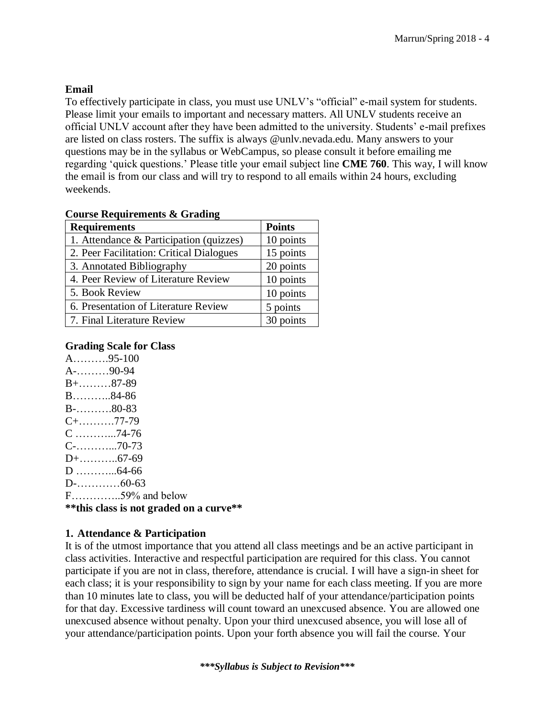# **Email**

To effectively participate in class, you must use UNLV's "official" e-mail system for students. Please limit your emails to important and necessary matters. All UNLV students receive an official UNLV account after they have been admitted to the university. Students' e-mail prefixes are listed on class rosters. The suffix is always @unlv.nevada.edu. Many answers to your questions may be in the syllabus or WebCampus, so please consult it before emailing me regarding 'quick questions.' Please title your email subject line **CME 760**. This way, I will know the email is from our class and will try to respond to all emails within 24 hours, excluding weekends.

| <b>Course Requirements &amp; Grading</b> |  |
|------------------------------------------|--|
|------------------------------------------|--|

| <b>Requirements</b>                      | <b>Points</b> |
|------------------------------------------|---------------|
| 1. Attendance & Participation (quizzes)  | 10 points     |
| 2. Peer Facilitation: Critical Dialogues | 15 points     |
| 3. Annotated Bibliography                | 20 points     |
| 4. Peer Review of Literature Review      | 10 points     |
| 5. Book Review                           | 10 points     |
| 6. Presentation of Literature Review     | 5 points      |
| 7. Final Literature Review               | 30 points     |

#### **Grading Scale for Class**

| ** this class is not graded on a curve** |  |
|------------------------------------------|--|
| $F$ 59% and below                        |  |
|                                          |  |
|                                          |  |
|                                          |  |
|                                          |  |
| $C$ 74-76                                |  |
| $C+$ 77-79                               |  |
| $B$ -80-83                               |  |
| $B$ 84-86                                |  |
| $B+$ 87-89                               |  |
| $A$ -90-94                               |  |
| $A$ 95-100                               |  |
|                                          |  |

# **1. Attendance & Participation**

It is of the utmost importance that you attend all class meetings and be an active participant in class activities. Interactive and respectful participation are required for this class. You cannot participate if you are not in class, therefore, attendance is crucial. I will have a sign-in sheet for each class; it is your responsibility to sign by your name for each class meeting. If you are more than 10 minutes late to class, you will be deducted half of your attendance/participation points for that day. Excessive tardiness will count toward an unexcused absence. You are allowed one unexcused absence without penalty. Upon your third unexcused absence, you will lose all of your attendance/participation points. Upon your forth absence you will fail the course. Your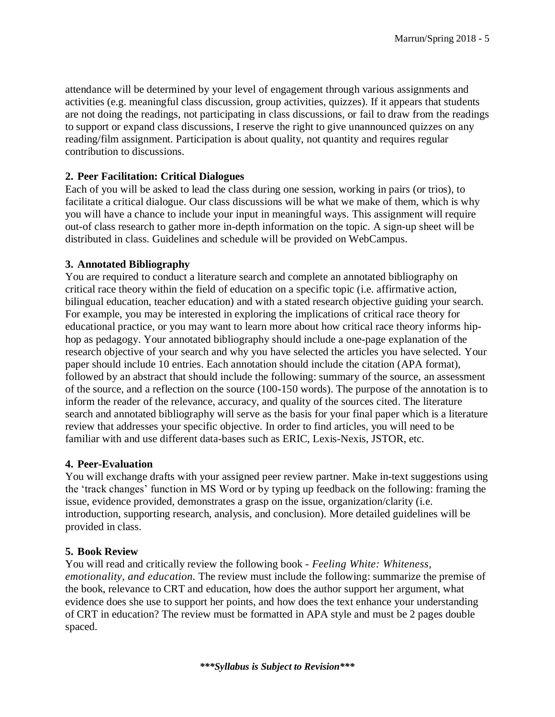attendance will be determined by your level of engagement through various assignments and activities (e.g. meaningful class discussion, group activities, quizzes). If it appears that students are not doing the readings, not participating in class discussions, or fail to draw from the readings to support or expand class discussions, I reserve the right to give unannounced quizzes on any reading/film assignment. Participation is about quality, not quantity and requires regular contribution to discussions.

#### **2. Peer Facilitation: Critical Dialogues**

Each of you will be asked to lead the class during one session, working in pairs (or trios), to facilitate a critical dialogue. Our class discussions will be what we make of them, which is why you will have a chance to include your input in meaningful ways. This assignment will require out-of class research to gather more in-depth information on the topic. A sign-up sheet will be distributed in class. Guidelines and schedule will be provided on WebCampus.

#### **3. Annotated Bibliography**

You are required to conduct a literature search and complete an annotated bibliography on critical race theory within the field of education on a specific topic (i.e. affirmative action, bilingual education, teacher education) and with a stated research objective guiding your search. For example, you may be interested in exploring the implications of critical race theory for educational practice, or you may want to learn more about how critical race theory informs hiphop as pedagogy. Your annotated bibliography should include a one-page explanation of the research objective of your search and why you have selected the articles you have selected. Your paper should include 10 entries. Each annotation should include the citation (APA format), followed by an abstract that should include the following: summary of the source, an assessment of the source, and a reflection on the source (100-150 words). The purpose of the annotation is to inform the reader of the relevance, accuracy, and quality of the sources cited. The literature search and annotated bibliography will serve as the basis for your final paper which is a literature review that addresses your specific objective. In order to find articles, you will need to be familiar with and use different data-bases such as ERIC, Lexis-Nexis, JSTOR, etc.

#### **4. Peer-Evaluation**

You will exchange drafts with your assigned peer review partner. Make in-text suggestions using the 'track changes' function in MS Word or by typing up feedback on the following: framing the issue, evidence provided, demonstrates a grasp on the issue, organization/clarity (i.e. introduction, supporting research, analysis, and conclusion). More detailed guidelines will be provided in class.

#### **5. Book Review**

You will read and critically review the following book - *Feeling White: Whiteness, emotionality, and education.* The review must include the following: summarize the premise of the book, relevance to CRT and education, how does the author support her argument, what evidence does she use to support her points, and how does the text enhance your understanding of CRT in education? The review must be formatted in APA style and must be 2 pages double spaced.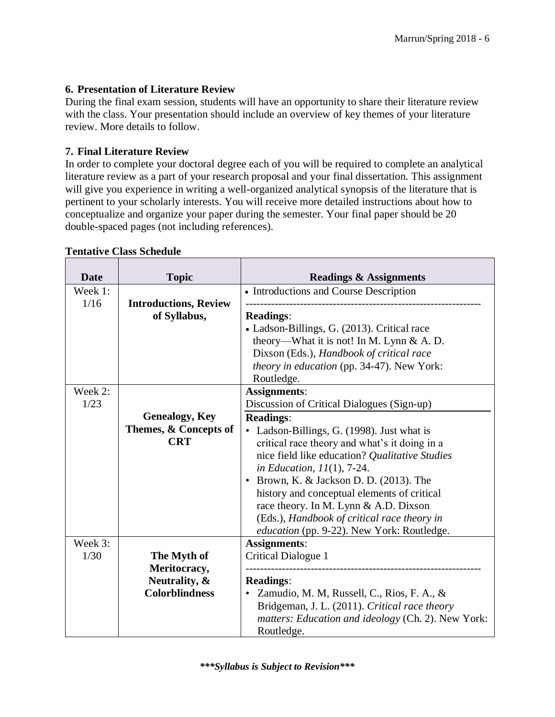#### **6. Presentation of Literature Review**

During the final exam session, students will have an opportunity to share their literature review with the class. Your presentation should include an overview of key themes of your literature review. More details to follow.

#### **7. Final Literature Review**

In order to complete your doctoral degree each of you will be required to complete an analytical literature review as a part of your research proposal and your final dissertation. This assignment will give you experience in writing a well-organized analytical synopsis of the literature that is pertinent to your scholarly interests. You will receive more detailed instructions about how to conceptualize and organize your paper during the semester. Your final paper should be 20 double-spaced pages (not including references).

| <b>Date</b>     | <b>Topic</b>                 | <b>Readings &amp; Assignments</b>                                |
|-----------------|------------------------------|------------------------------------------------------------------|
| Week 1:<br>1/16 | <b>Introductions, Review</b> | • Introductions and Course Description                           |
|                 | of Syllabus,                 | <b>Readings:</b>                                                 |
|                 |                              | • Ladson-Billings, G. (2013). Critical race                      |
|                 |                              | theory—What it is not! In M. Lynn & A. D.                        |
|                 |                              | Dixson (Eds.), Handbook of critical race                         |
|                 |                              | theory in education (pp. 34-47). New York:                       |
|                 |                              | Routledge.                                                       |
| Week 2:         |                              | <b>Assignments:</b>                                              |
| 1/23            |                              | Discussion of Critical Dialogues (Sign-up)                       |
|                 | <b>Genealogy, Key</b>        | <b>Readings:</b>                                                 |
|                 | Themes, & Concepts of        | • Ladson-Billings, G. (1998). Just what is                       |
|                 | <b>CRT</b>                   | critical race theory and what's it doing in a                    |
|                 |                              | nice field like education? Qualitative Studies                   |
|                 |                              | in Education, $11(1)$ , 7-24.                                    |
|                 |                              | • Brown, K. & Jackson D. D. (2013). The                          |
|                 |                              | history and conceptual elements of critical                      |
|                 |                              | race theory. In M. Lynn & A.D. Dixson                            |
|                 |                              | (Eds.), Handbook of critical race theory in                      |
|                 |                              | education (pp. 9-22). New York: Routledge.                       |
| Week 3:         |                              | <b>Assignments:</b>                                              |
| 1/30            | The Myth of                  | <b>Critical Dialogue 1</b>                                       |
|                 | Meritocracy,                 |                                                                  |
|                 | Neutrality, &                | <b>Readings:</b>                                                 |
|                 | <b>Colorblindness</b>        | Zamudio, M. M, Russell, C., Rios, F. A., &<br>$\bullet$          |
|                 |                              | Bridgeman, J. L. (2011). Critical race theory                    |
|                 |                              | matters: Education and ideology (Ch. 2). New York:<br>Routledge. |

#### **Tentative Class Schedule**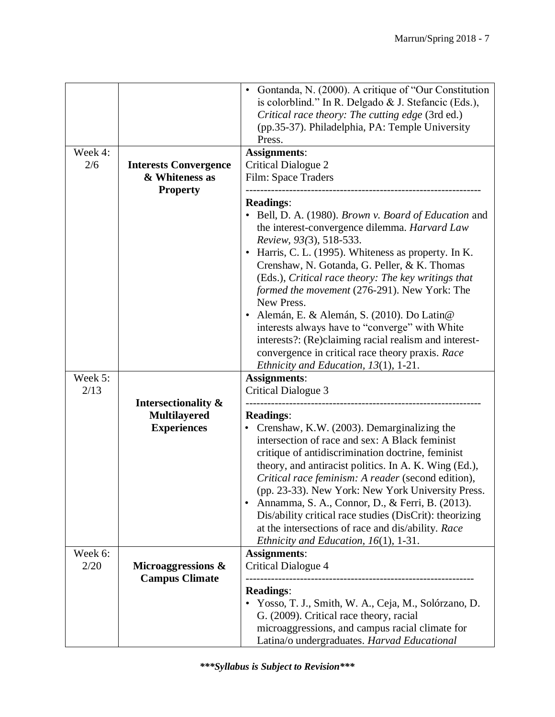|         |                              | Gontanda, N. (2000). A critique of "Our Constitution<br>is colorblind." In R. Delgado & J. Stefancic (Eds.),<br>Critical race theory: The cutting edge (3rd ed.)<br>(pp.35-37). Philadelphia, PA: Temple University<br>Press.                                                                                                                                                                                                                                                                                                                                                                                        |
|---------|------------------------------|----------------------------------------------------------------------------------------------------------------------------------------------------------------------------------------------------------------------------------------------------------------------------------------------------------------------------------------------------------------------------------------------------------------------------------------------------------------------------------------------------------------------------------------------------------------------------------------------------------------------|
| Week 4: |                              | <b>Assignments:</b>                                                                                                                                                                                                                                                                                                                                                                                                                                                                                                                                                                                                  |
| 2/6     | <b>Interests Convergence</b> | <b>Critical Dialogue 2</b>                                                                                                                                                                                                                                                                                                                                                                                                                                                                                                                                                                                           |
|         | & Whiteness as               | Film: Space Traders                                                                                                                                                                                                                                                                                                                                                                                                                                                                                                                                                                                                  |
|         | <b>Property</b>              |                                                                                                                                                                                                                                                                                                                                                                                                                                                                                                                                                                                                                      |
|         |                              | <b>Readings:</b>                                                                                                                                                                                                                                                                                                                                                                                                                                                                                                                                                                                                     |
|         |                              | Bell, D. A. (1980). Brown v. Board of Education and<br>the interest-convergence dilemma. Harvard Law<br>Review, 93(3), 518-533.<br>Harris, C. L. (1995). Whiteness as property. In K.<br>Crenshaw, N. Gotanda, G. Peller, & K. Thomas<br>(Eds.), Critical race theory: The key writings that<br>formed the movement (276-291). New York: The<br>New Press.<br>· Alemán, E. & Alemán, S. (2010). Do Latin@<br>interests always have to "converge" with White<br>interests?: (Re)claiming racial realism and interest-<br>convergence in critical race theory praxis. Race<br>Ethnicity and Education, $13(1)$ , 1-21. |
| Week 5: |                              | <b>Assignments:</b>                                                                                                                                                                                                                                                                                                                                                                                                                                                                                                                                                                                                  |
| 2/13    |                              | <b>Critical Dialogue 3</b>                                                                                                                                                                                                                                                                                                                                                                                                                                                                                                                                                                                           |
|         | Intersectionality &          |                                                                                                                                                                                                                                                                                                                                                                                                                                                                                                                                                                                                                      |
|         | <b>Multilayered</b>          | <b>Readings:</b>                                                                                                                                                                                                                                                                                                                                                                                                                                                                                                                                                                                                     |
|         | <b>Experiences</b>           | Crenshaw, K.W. (2003). Demarginalizing the                                                                                                                                                                                                                                                                                                                                                                                                                                                                                                                                                                           |
|         |                              | intersection of race and sex: A Black feminist<br>critique of antidiscrimination doctrine, feminist<br>theory, and antiracist politics. In A. K. Wing (Ed.),<br>Critical race feminism: A reader (second edition),<br>(pp. 23-33). New York: New York University Press.<br>Annamma, S. A., Connor, D., & Ferri, B. (2013).<br>$\bullet$<br>Dis/ability critical race studies (DisCrit): theorizing<br>at the intersections of race and dis/ability. Race<br>Ethnicity and Education, $16(1)$ , 1-31.                                                                                                                 |
| Week 6: |                              | <b>Assignments:</b>                                                                                                                                                                                                                                                                                                                                                                                                                                                                                                                                                                                                  |
| 2/20    | Microaggressions &           | <b>Critical Dialogue 4</b>                                                                                                                                                                                                                                                                                                                                                                                                                                                                                                                                                                                           |
|         | <b>Campus Climate</b>        | <b>Readings:</b><br>• Yosso, T. J., Smith, W. A., Ceja, M., Solórzano, D.<br>G. (2009). Critical race theory, racial<br>microaggressions, and campus racial climate for<br>Latina/o undergraduates. Harvad Educational                                                                                                                                                                                                                                                                                                                                                                                               |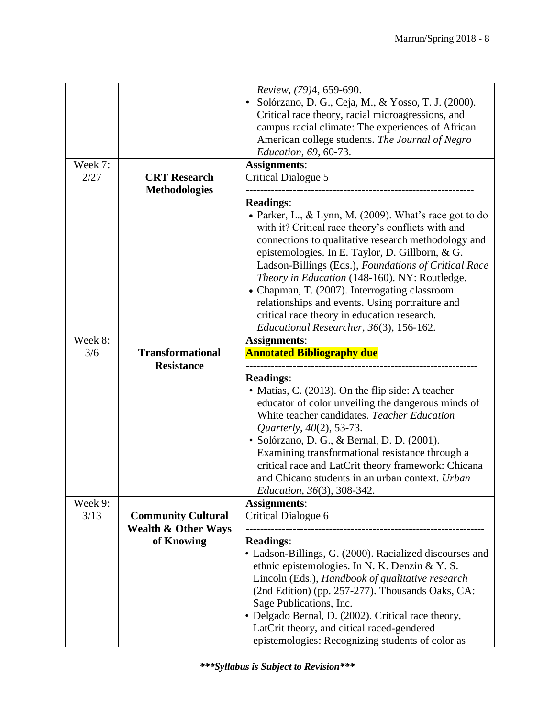| Week 7:<br>2/27 | <b>CRT</b> Research                                         | Review, (79)4, 659-690.<br>Solórzano, D. G., Ceja, M., & Yosso, T. J. (2000).<br>Critical race theory, racial microagressions, and<br>campus racial climate: The experiences of African<br>American college students. The Journal of Negro<br>Education, 69, 60-73.<br><b>Assignments:</b><br><b>Critical Dialogue 5</b>                                                                                                                                                                                                                          |
|-----------------|-------------------------------------------------------------|---------------------------------------------------------------------------------------------------------------------------------------------------------------------------------------------------------------------------------------------------------------------------------------------------------------------------------------------------------------------------------------------------------------------------------------------------------------------------------------------------------------------------------------------------|
|                 | <b>Methodologies</b>                                        | <b>Readings:</b><br>• Parker, L., & Lynn, M. (2009). What's race got to do<br>with it? Critical race theory's conflicts with and<br>connections to qualitative research methodology and<br>epistemologies. In E. Taylor, D. Gillborn, & G.<br>Ladson-Billings (Eds.), Foundations of Critical Race<br>Theory in Education (148-160). NY: Routledge.<br>• Chapman, T. (2007). Interrogating classroom<br>relationships and events. Using portraiture and<br>critical race theory in education research.<br>Educational Researcher, 36(3), 156-162. |
| Week 8:         |                                                             | <b>Assignments:</b>                                                                                                                                                                                                                                                                                                                                                                                                                                                                                                                               |
| 3/6             | <b>Transformational</b><br><b>Resistance</b>                | <b>Annotated Bibliography due</b>                                                                                                                                                                                                                                                                                                                                                                                                                                                                                                                 |
|                 |                                                             | <b>Readings:</b><br>• Matias, C. (2013). On the flip side: A teacher<br>educator of color unveiling the dangerous minds of<br>White teacher candidates. Teacher Education<br>Quarterly, 40(2), 53-73.<br>· Solórzano, D. G., & Bernal, D. D. (2001).<br>Examining transformational resistance through a<br>critical race and LatCrit theory framework: Chicana<br>and Chicano students in an urban context. Urban<br><i>Education, 36(3), 308-342.</i>                                                                                            |
| Week 9:         |                                                             | <b>Assignments:</b>                                                                                                                                                                                                                                                                                                                                                                                                                                                                                                                               |
| 3/13            | <b>Community Cultural</b><br><b>Wealth &amp; Other Ways</b> | Critical Dialogue 6                                                                                                                                                                                                                                                                                                                                                                                                                                                                                                                               |
|                 | of Knowing                                                  | <b>Readings:</b><br>• Ladson-Billings, G. (2000). Racialized discourses and<br>ethnic epistemologies. In N. K. Denzin & Y. S.<br>Lincoln (Eds.), Handbook of qualitative research<br>(2nd Edition) (pp. 257-277). Thousands Oaks, CA:<br>Sage Publications, Inc.<br>• Delgado Bernal, D. (2002). Critical race theory,<br>LatCrit theory, and citical raced-gendered<br>epistemologies: Recognizing students of color as                                                                                                                          |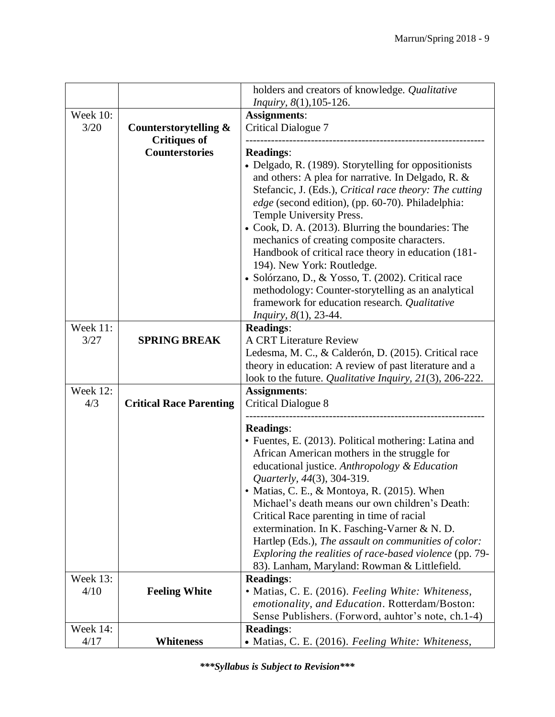|                 |                                | holders and creators of knowledge. Qualitative                                                        |
|-----------------|--------------------------------|-------------------------------------------------------------------------------------------------------|
|                 |                                | <i>Inquiry</i> , 8(1), 105-126.                                                                       |
| <b>Week 10:</b> |                                | <b>Assignments:</b>                                                                                   |
| 3/20            | Counterstorytelling &          | <b>Critical Dialogue 7</b>                                                                            |
|                 | <b>Critiques of</b>            |                                                                                                       |
|                 | <b>Counterstories</b>          | <b>Readings:</b>                                                                                      |
|                 |                                | • Delgado, R. (1989). Storytelling for oppositionists                                                 |
|                 |                                | and others: A plea for narrative. In Delgado, R. &                                                    |
|                 |                                | Stefancic, J. (Eds.), Critical race theory: The cutting                                               |
|                 |                                | edge (second edition), (pp. 60-70). Philadelphia:                                                     |
|                 |                                | Temple University Press.                                                                              |
|                 |                                | • Cook, D. A. (2013). Blurring the boundaries: The                                                    |
|                 |                                | mechanics of creating composite characters.                                                           |
|                 |                                | Handbook of critical race theory in education (181-                                                   |
|                 |                                | 194). New York: Routledge.<br>· Solórzano, D., & Yosso, T. (2002). Critical race                      |
|                 |                                | methodology: Counter-storytelling as an analytical                                                    |
|                 |                                | framework for education research. Qualitative                                                         |
|                 |                                | Inquiry, 8(1), 23-44.                                                                                 |
| Week 11:        |                                | <b>Readings:</b>                                                                                      |
| 3/27            | <b>SPRING BREAK</b>            | <b>A CRT Literature Review</b>                                                                        |
|                 |                                | Ledesma, M. C., & Calderón, D. (2015). Critical race                                                  |
|                 |                                | theory in education: A review of past literature and a                                                |
|                 |                                | look to the future. Qualitative Inquiry, 21(3), 206-222.                                              |
| Week 12:        |                                | <b>Assignments:</b>                                                                                   |
| 4/3             | <b>Critical Race Parenting</b> | <b>Critical Dialogue 8</b>                                                                            |
|                 |                                |                                                                                                       |
|                 |                                | <b>Readings:</b>                                                                                      |
|                 |                                | • Fuentes, E. (2013). Political mothering: Latina and<br>African American mothers in the struggle for |
|                 |                                | educational justice. Anthropology & Education                                                         |
|                 |                                | Quarterly, 44(3), 304-319.                                                                            |
|                 |                                | • Matias, C. E., & Montoya, R. (2015). When                                                           |
|                 |                                | Michael's death means our own children's Death:                                                       |
|                 |                                | Critical Race parenting in time of racial                                                             |
|                 |                                | extermination. In K. Fasching-Varner & N. D.                                                          |
|                 |                                | Hartlep (Eds.), The assault on communities of color:                                                  |
|                 |                                | Exploring the realities of race-based violence (pp. 79-                                               |
|                 |                                | 83). Lanham, Maryland: Rowman & Littlefield.                                                          |
| <b>Week 13:</b> |                                | <b>Readings:</b>                                                                                      |
| 4/10            | <b>Feeling White</b>           | • Matias, C. E. (2016). Feeling White: Whiteness,                                                     |
|                 |                                | emotionality, and Education. Rotterdam/Boston:                                                        |
|                 |                                | Sense Publishers. (Forword, auhtor's note, ch.1-4)                                                    |
| Week 14:        |                                | <b>Readings:</b>                                                                                      |
| 4/17            | <b>Whiteness</b>               | • Matias, C. E. (2016). Feeling White: Whiteness,                                                     |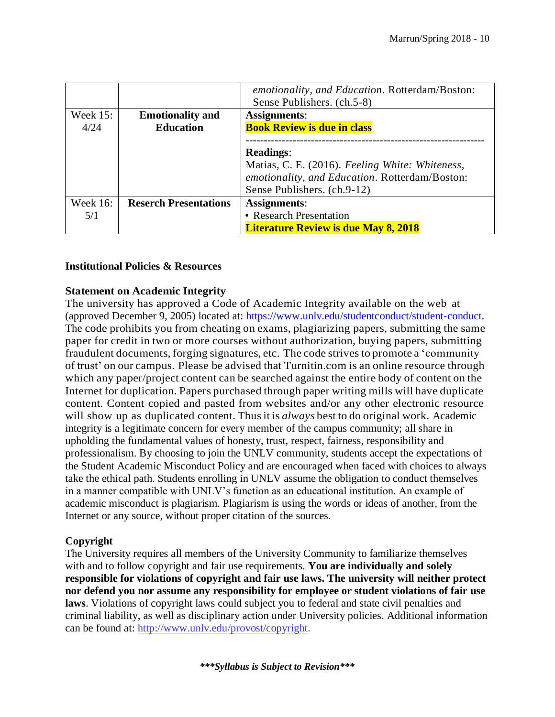|                 |                              | emotionality, and Education. Rotterdam/Boston:<br>Sense Publishers. (ch.5-8) |
|-----------------|------------------------------|------------------------------------------------------------------------------|
| Week $15$ :     | <b>Emotionality and</b>      | Assignments:                                                                 |
| 4/24            | <b>Education</b>             | <b>Book Review is due in class</b>                                           |
|                 |                              |                                                                              |
|                 |                              | <b>Readings:</b>                                                             |
|                 |                              | Matias, C. E. (2016). Feeling White: Whiteness,                              |
|                 |                              | emotionality, and Education. Rotterdam/Boston:                               |
|                 |                              | Sense Publishers. (ch.9-12)                                                  |
| <b>Week 16:</b> | <b>Reserch Presentations</b> | <b>Assignments:</b>                                                          |
| 5/1             |                              | • Research Presentation                                                      |
|                 |                              | <b>Literature Review is due May 8, 2018</b>                                  |

#### **Institutional Policies & Resources**

#### **Statement on Academic Integrity**

The university has approved a Code of Academic Integrity available on the web at (approved December 9, 2005) located at: [https://www.unlv.edu/studentconduct/student-conduct.](https://www.unlv.edu/studentconduct/student-conduct) The code prohibits you from cheating on exams, plagiarizing papers, submitting the same paper for credit in two or more courses without authorization, buying papers, submitting fraudulent documents, forging signatures, etc. The code strivesto promote a 'community of trust' on our campus. Please be advised that Turnitin.com is an online resource through which any paper/project content can be searched against the entire body of content on the Internet for duplication. Papers purchased through paper writing mills will have duplicate content. Content copied and pasted from websites and/or any other electronic resource will show up as duplicated content. Thus it is *always* best to do original work. Academic integrity is a legitimate concern for every member of the campus community; all share in upholding the fundamental values of honesty, trust, respect, fairness, responsibility and professionalism. By choosing to join the UNLV community, students accept the expectations of the Student Academic Misconduct Policy and are encouraged when faced with choices to always take the ethical path. Students enrolling in UNLV assume the obligation to conduct themselves in a manner compatible with UNLV's function as an educational institution. An example of academic misconduct is plagiarism. Plagiarism is using the words or ideas of another, from the Internet or any source, without proper citation of the sources.

#### **Copyright**

The University requires all members of the University Community to familiarize themselves with and to follow copyright and fair use requirements. **You are individually and solely responsible for violations of copyright and fair use laws. The university will neither protect nor defend you nor assume any responsibility for employee or student violations of fair use laws**. Violations of copyright laws could subject you to federal and state civil penalties and criminal liability, as well as disciplinary action under University policies. Additional information can be found at: [http://www.unlv.edu/provost/copyright.](http://www.unlv.edu/provost/copyright)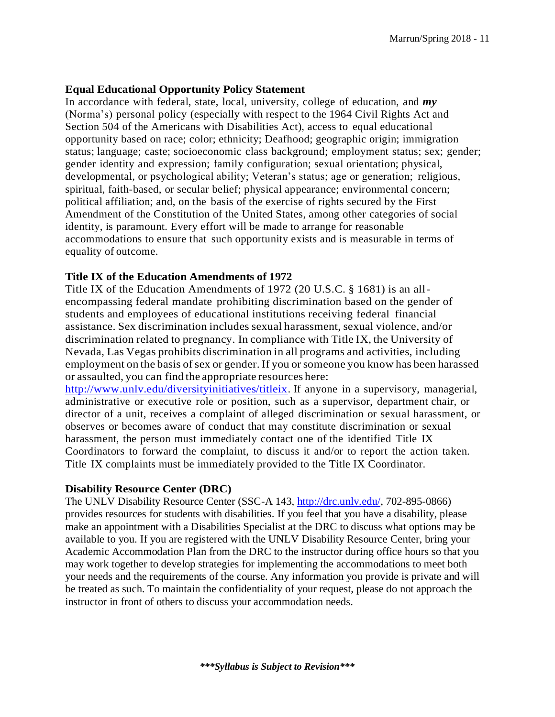#### **Equal Educational Opportunity Policy Statement**

In accordance with federal, state, local, university, college of education, and *my* (Norma's) personal policy (especially with respect to the 1964 Civil Rights Act and Section 504 of the Americans with Disabilities Act), access to equal educational opportunity based on race; color; ethnicity; Deafhood; geographic origin; immigration status; language; caste; socioeconomic class background; employment status; sex; gender; gender identity and expression; family configuration; sexual orientation; physical, developmental, or psychological ability; Veteran's status; age or generation; religious, spiritual, faith-based, or secular belief; physical appearance; environmental concern; political affiliation; and, on the basis of the exercise of rights secured by the First Amendment of the Constitution of the United States, among other categories of social identity, is paramount. Every effort will be made to arrange for reasonable accommodations to ensure that such opportunity exists and is measurable in terms of equality of outcome.

#### **Title IX of the Education Amendments of 1972**

Title IX of the Education Amendments of 1972 (20 U.S.C. § 1681) is an allencompassing federal mandate prohibiting discrimination based on the gender of students and employees of educational institutions receiving federal financial assistance. Sex discrimination includes sexual harassment, sexual violence, and/or discrimination related to pregnancy. In compliance with Title IX, the University of Nevada, Las Vegas prohibits discrimination in all programs and activities, including employment on the basis of sex or gender. If you or someone you know has been harassed or assaulted, you can find the appropriate resources here:

[http://www.unlv.edu/diversityinitiatives/titleix.](http://www.unlv.edu/diversityinitiatives/titleix) If anyone in a supervisory, managerial, administrative or executive role or position, such as a supervisor, department chair, or director of a unit, receives a complaint of alleged discrimination or sexual harassment, or observes or becomes aware of conduct that may constitute discrimination or sexual harassment, the person must immediately contact one of the identified Title IX Coordinators to forward the complaint, to discuss it and/or to report the action taken. Title IX complaints must be immediately provided to the Title IX Coordinator.

#### **Disability Resource Center (DRC)**

The UNLV Disability Resource Center (SSC-A 143, [http://drc.unlv.edu/,](http://drc.unlv.edu/) 702-895-0866) provides resources for students with disabilities. If you feel that you have a disability, please make an appointment with a Disabilities Specialist at the DRC to discuss what options may be available to you. If you are registered with the UNLV Disability Resource Center, bring your Academic Accommodation Plan from the DRC to the instructor during office hours so that you may work together to develop strategies for implementing the accommodations to meet both your needs and the requirements of the course. Any information you provide is private and will be treated as such. To maintain the confidentiality of your request, please do not approach the instructor in front of others to discuss your accommodation needs.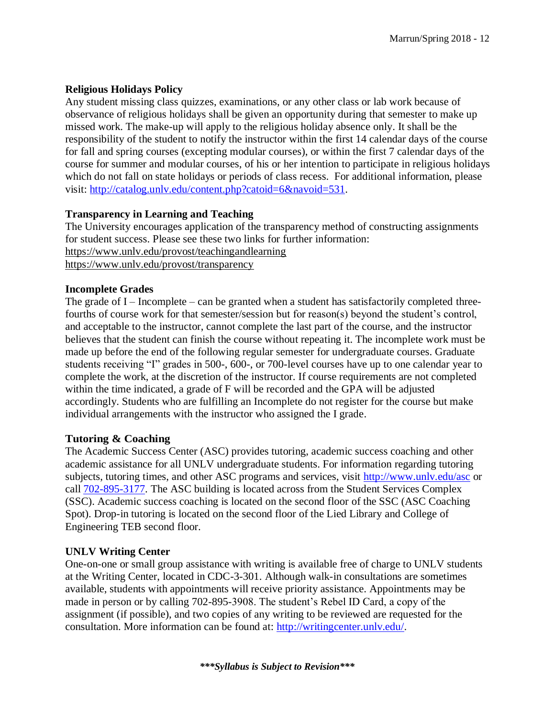# **Religious Holidays Policy**

Any student missing class quizzes, examinations, or any other class or lab work because of observance of religious holidays shall be given an opportunity during that semester to make up missed work. The make-up will apply to the religious holiday absence only. It shall be the responsibility of the student to notify the instructor within the first 14 calendar days of the course for fall and spring courses (excepting modular courses), or within the first 7 calendar days of the course for summer and modular courses, of his or her intention to participate in religious holidays which do not fall on state holidays or periods of class recess. For additional information, please visit: [http://catalog.unlv.edu/content.php?catoid=6&navoid=531.](http://catalog.unlv.edu/content.php?catoid=6&navoid=531)

# **Transparency in Learning and Teaching**

The University encourages application of the transparency method of constructing assignments for student success. Please see these two links for further information: <https://www.unlv.edu/provost/teachingandlearning> <https://www.unlv.edu/provost/transparency>

# **Incomplete Grades**

The grade of  $I$  – Incomplete – can be granted when a student has satisfactorily completed threefourths of course work for that semester/session but for reason(s) beyond the student's control, and acceptable to the instructor, cannot complete the last part of the course, and the instructor believes that the student can finish the course without repeating it. The incomplete work must be made up before the end of the following regular semester for undergraduate courses. Graduate students receiving "I" grades in 500-, 600-, or 700-level courses have up to one calendar year to complete the work, at the discretion of the instructor. If course requirements are not completed within the time indicated, a grade of F will be recorded and the GPA will be adjusted accordingly. Students who are fulfilling an Incomplete do not register for the course but make individual arrangements with the instructor who assigned the I grade.

# **Tutoring & Coaching**

The Academic Success Center (ASC) provides tutoring, academic success coaching and other academic assistance for all UNLV undergraduate students. For information regarding tutoring subjects, tutoring times, and other ASC programs and services, visit <http://www.unlv.edu/asc> or call [702-895-3177.](tel:702-895-3177) The ASC building is located across from the Student Services Complex (SSC). Academic success coaching is located on the second floor of the SSC (ASC Coaching Spot). Drop-in tutoring is located on the second floor of the Lied Library and College of Engineering TEB second floor.

# **UNLV Writing Center**

One-on-one or small group assistance with writing is available free of charge to UNLV students at the Writing Center, located in CDC-3-301. Although walk-in consultations are sometimes available, students with appointments will receive priority assistance. Appointments may be made in person or by calling 702-895-3908. The student's Rebel ID Card, a copy of the assignment (if possible), and two copies of any writing to be reviewed are requested for the consultation. More information can be found at: [http://writingcenter.unlv.edu/.](http://writingcenter.unlv.edu/)